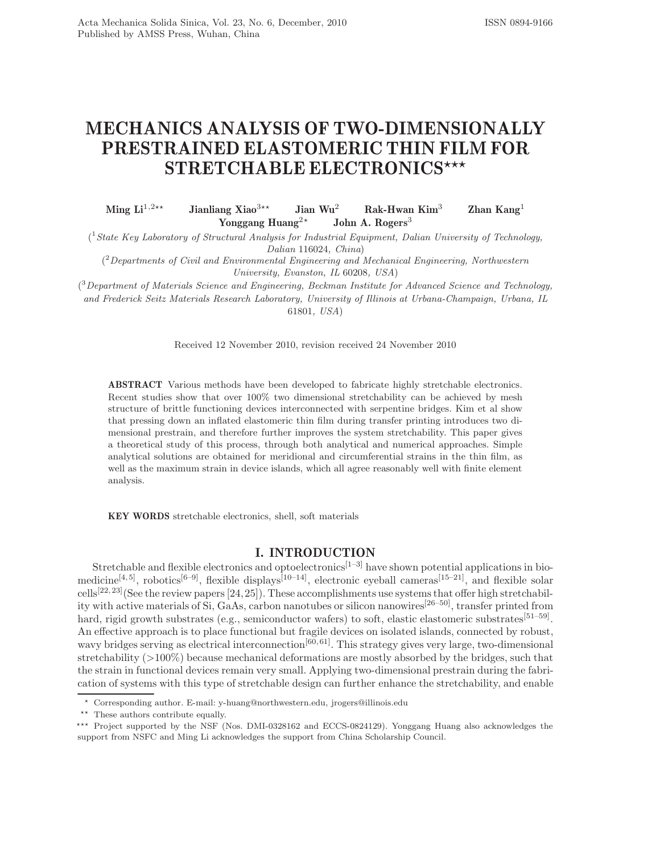# **MECHANICS ANALYSIS OF TWO-DIMENSIONALLY**  $\textbf{STRETCHABLE ELECTRONICS}^{\star\star\star}$

Ming  $\mathbf{Li}^{1,2\star\star}$ **Jianliang Xiao**<sup>3\*\*</sup><br> **Yonggang Jian Wu**<sup>2</sup> **Rak-Hwan Kim**<sup>3</sup> **Zhan Kang**<sup>1</sup> **Yonggang Huang<sup>2\*</sup> John A. Rogers**<sup>3</sup>

( <sup>1</sup>State Key Laboratory of Structural Analysis for Industrial Equipment, Dalian University of Technology, Dalian 116024, China)

( <sup>2</sup>Departments of Civil and Environmental Engineering and Mechanical Engineering, Northwestern University, Evanston, IL 60208, USA)

<sup>3</sup>Department of Materials Science and Engineering, Beckman Institute for Advanced Science and Technology, and Frederick Seitz Materials Research Laboratory, University of Illinois at Urbana-Champaign, Urbana, IL 61801, USA)

Received 12 November 2010, revision received 24 November 2010

**ABSTRACT** Various methods have been developed to fabricate highly stretchable electronics. Recent studies show that over 100% two dimensional stretchability can be achieved by mesh structure of brittle functioning devices interconnected with serpentine bridges. Kim et al show that pressing down an inflated elastomeric thin film during transfer printing introduces two dimensional prestrain, and therefore further improves the system stretchability. This paper gives a theoretical study of this process, through both analytical and numerical approaches. Simple analytical solutions are obtained for meridional and circumferential strains in the thin film, as well as the maximum strain in device islands, which all agree reasonably well with finite element analysis.

**KEY WORDS** stretchable electronics, shell, soft materials

**Stretchable and flexible electronics and optoelectronics**<sup>[1–3]</sup> have shown potential applications in biomedicine<sup>[4, 5]</sup>, robotics<sup>[6–9]</sup>, flexible displays<sup>[10–14]</sup>, electronic eyeball cameras<sup>[15–21]</sup>, and flexible solar cells<sup>[22, 23]</sup>(See the review papers [24, 25]). These accomplishments use systems that offer high stretchability with active materials of Si, GaAs, carbon nanotubes or silicon nanowires[26–50], transfer printed from hard, rigid growth substrates (e.g., semiconductor wafers) to soft, elastic elastomeric substrates<sup>[51–59]</sup>. An effective approach is to place functional but fragile devices on isolated islands, connected by robust, wavy bridges serving as electrical interconnection<sup>[60, 61]</sup>. This strategy gives very large, two-dimensional stretchability (>100%) because mechanical deformations are mostly absorbed by the bridges, such that the strain in functional devices remain very small. Applying two-dimensional prestrain during the fabrication of systems with this type of stretchable design can further enhance the stretchability, and enable

<sup>-</sup> Corresponding author. E-mail: y-huang@northwestern.edu, jrogers@illinois.edu

<sup>\*\*</sup> These authors contribute equally.

<sup>\*\*\*</sup> Project supported by the NSF (Nos. DMI-0328162 and ECCS-0824129). Yonggang Huang also acknowledges the support from NSFC and Ming Li acknowledges the support from China Scholarship Council.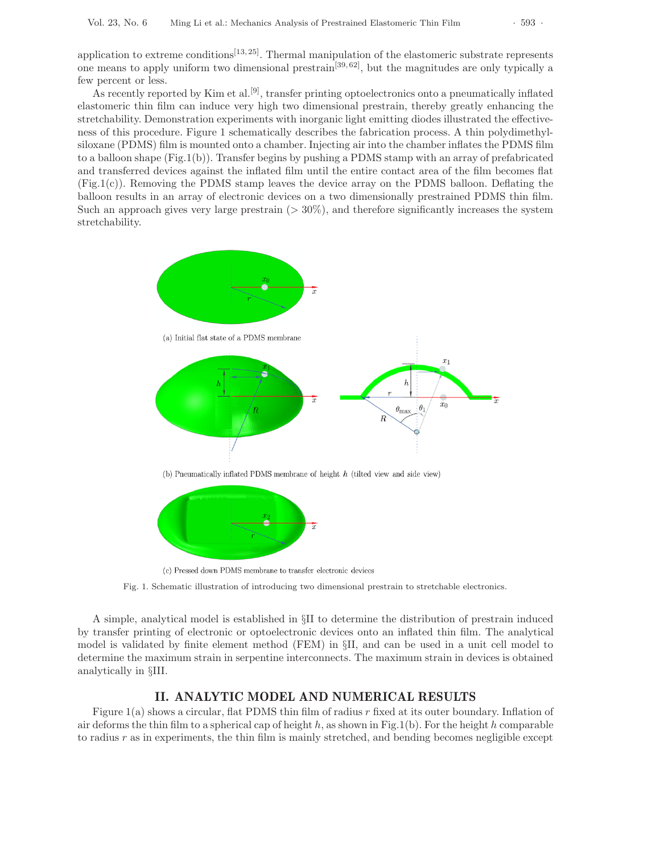application to extreme conditions<sup>[13, 25]</sup>. Thermal manipulation of the elastomeric substrate represents one means to apply uniform two dimensional prestrain<sup>[39,62]</sup>, but the magnitudes are only typically a few percent or less.

As recently reported by Kim et al.<sup>[9]</sup>, transfer printing optoelectronics onto a pneumatically inflated elastomeric thin film can induce very high two dimensional prestrain, thereby greatly enhancing the stretchability. Demonstration experiments with inorganic light emitting diodes illustrated the effectiveness of this procedure. Figure 1 schematically describes the fabrication process. A thin polydimethylsiloxane (PDMS) film is mounted onto a chamber. Injecting air into the chamber inflates the PDMS film to a balloon shape (Fig.1(b)). Transfer begins by pushing a PDMS stamp with an array of prefabricated and transferred devices against the inflated film until the entire contact area of the film becomes flat (Fig.1(c)). Removing the PDMS stamp leaves the device array on the PDMS balloon. Deflating the balloon results in an array of electronic devices on a two dimensionally prestrained PDMS thin film. Such an approach gives very large prestrain  $(>30\%)$ , and therefore significantly increases the system stretchability.



(c) Pressed down PDMS membrane to transfer electronic devices

Fig. 1. Schematic illustration of introducing two dimensional prestrain to stretchable electronics.

A simple, analytical model is established in §II to determine the distribution of prestrain induced by transfer printing of electronic or optoelectronic devices onto an inflated thin film. The analytical model is validated by finite element method (FEM) in §II, and can be used in a unit cell model to determine the maximum strain in serpentine interconnects. The maximum strain in devices is obtained analytically in §III.

Figure 1(a) shows a circular, flat PDMS thin film of radius r fixed at its outer boundary. Inflation of air deforms the thin film to a spherical cap of height h, as shown in Fig.1(b). For the height h comparable to radius  $r$  as in experiments, the thin film is mainly stretched, and bending becomes negligible except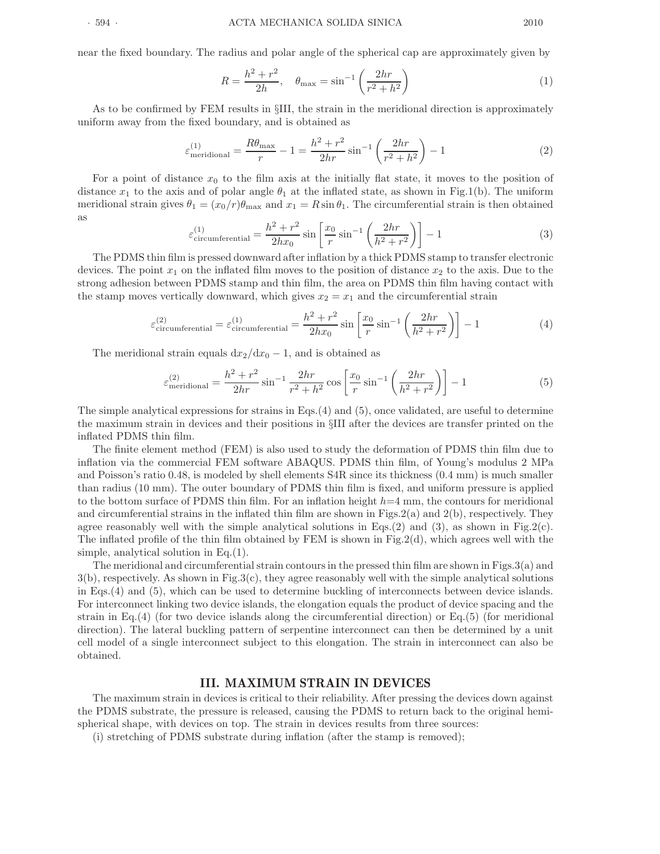near the fixed boundary. The radius and polar angle of the spherical cap are approximately given by

$$
R = \frac{h^2 + r^2}{2h}, \quad \theta_{\text{max}} = \sin^{-1}\left(\frac{2hr}{r^2 + h^2}\right)
$$
 (1)

As to be confirmed by FEM results in §III, the strain in the meridional direction is approximately uniform away from the fixed boundary, and is obtained as

$$
\varepsilon_{\text{meridional}}^{(1)} = \frac{R\theta_{\text{max}}}{r} - 1 = \frac{h^2 + r^2}{2hr} \sin^{-1} \left(\frac{2hr}{r^2 + h^2}\right) - 1 \tag{2}
$$

For a point of distance  $x_0$  to the film axis at the initially flat state, it moves to the position of distance  $x_1$  to the axis and of polar angle  $\theta_1$  at the inflated state, as shown in Fig.1(b). The uniform meridional strain gives  $\theta_1 = (x_0/r)\theta_{\text{max}}$  and  $x_1 = R \sin \theta_1$ . The circumferential strain is then obtained as

$$
\varepsilon_{\text{circumferential}}^{(1)} = \frac{h^2 + r^2}{2hx_0} \sin\left[\frac{x_0}{r}\sin^{-1}\left(\frac{2hr}{h^2 + r^2}\right)\right] - 1\tag{3}
$$

The PDMS thin film is pressed downward after inflation by a thick PDMS stamp to transfer electronic devices. The point  $x_1$  on the inflated film moves to the position of distance  $x_2$  to the axis. Due to the strong adhesion between PDMS stamp and thin film, the area on PDMS thin film having contact with the stamp moves vertically downward, which gives  $x_2 = x_1$  and the circumferential strain

$$
\varepsilon_{\text{circumferential}}^{(2)} = \varepsilon_{\text{circumferential}}^{(1)} = \frac{h^2 + r^2}{2hx_0} \sin\left[\frac{x_0}{r}\sin^{-1}\left(\frac{2hr}{h^2 + r^2}\right)\right] - 1\tag{4}
$$

The meridional strain equals  $dx_2/dx_0 - 1$ , and is obtained as

$$
\varepsilon_{\text{meridional}}^{(2)} = \frac{h^2 + r^2}{2hr} \sin^{-1} \frac{2hr}{r^2 + h^2} \cos \left[ \frac{x_0}{r} \sin^{-1} \left( \frac{2hr}{h^2 + r^2} \right) \right] - 1 \tag{5}
$$

The simple analytical expressions for strains in Eqs.(4) and (5), once validated, are useful to determine the maximum strain in devices and their positions in §III after the devices are transfer printed on the inflated PDMS thin film.

The finite element method (FEM) is also used to study the deformation of PDMS thin film due to inflation via the commercial FEM software ABAQUS. PDMS thin film, of Young's modulus 2 MPa and Poisson's ratio 0.48, is modeled by shell elements S4R since its thickness (0.4 mm) is much smaller than radius (10 mm). The outer boundary of PDMS thin film is fixed, and uniform pressure is applied to the bottom surface of PDMS thin film. For an inflation height  $h=4$  mm, the contours for meridional and circumferential strains in the inflated thin film are shown in Figs.2(a) and 2(b), respectively. They agree reasonably well with the simple analytical solutions in Eqs.(2) and (3), as shown in Fig.2(c). The inflated profile of the thin film obtained by FEM is shown in Fig.2(d), which agrees well with the simple, analytical solution in Eq.(1).

The meridional and circumferential strain contours in the pressed thin film are shown in Figs.3(a) and  $3(b)$ , respectively. As shown in Fig.3(c), they agree reasonably well with the simple analytical solutions in Eqs.(4) and (5), which can be used to determine buckling of interconnects between device islands. For interconnect linking two device islands, the elongation equals the product of device spacing and the strain in Eq.(4) (for two device islands along the circumferential direction) or Eq.(5) (for meridional direction). The lateral buckling pattern of serpentine interconnect can then be determined by a unit cell model of a single interconnect subject to this elongation. The strain in interconnect can also be obtained.

# **III. MAXIMUM STRAIN IN DEVICES**

The maximum strain in devices is critical to their reliability. After pressing the devices down against the PDMS substrate, the pressure is released, causing the PDMS to return back to the original hemispherical shape, with devices on top. The strain in devices results from three sources:

(i) stretching of PDMS substrate during inflation (after the stamp is removed);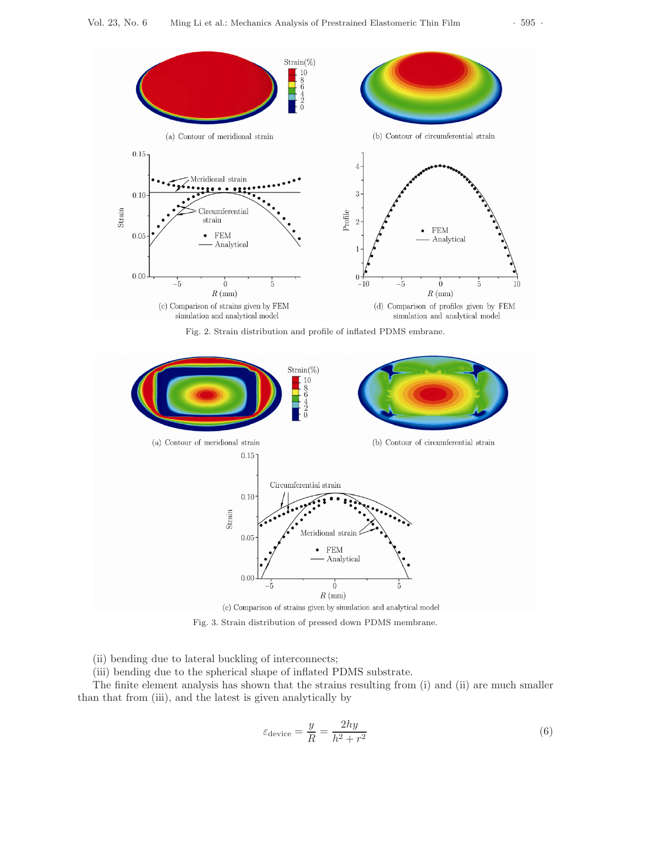

Fig. 3. Strain distribution of pressed down PDMS membrane.

Meridional strain

FEM Analytical

 $\overline{0}$ 

 $R$  (mm) (c) Comparison of strains given by simulation and analytical model

(ii) bending due to lateral buckling of interconnects;

(iii) bending due to the spherical shape of inflated PDMS substrate.

 $0.10\,$ 

 $0.05$ 

 $0.00$ 

 $-\dot{5}$ 

Strain

The finite element analysis has shown that the strains resulting from (i) and (ii) are much smaller than that from (iii), and the latest is given analytically by

$$
\varepsilon_{\text{device}} = \frac{y}{R} = \frac{2hy}{h^2 + r^2} \tag{6}
$$

Š.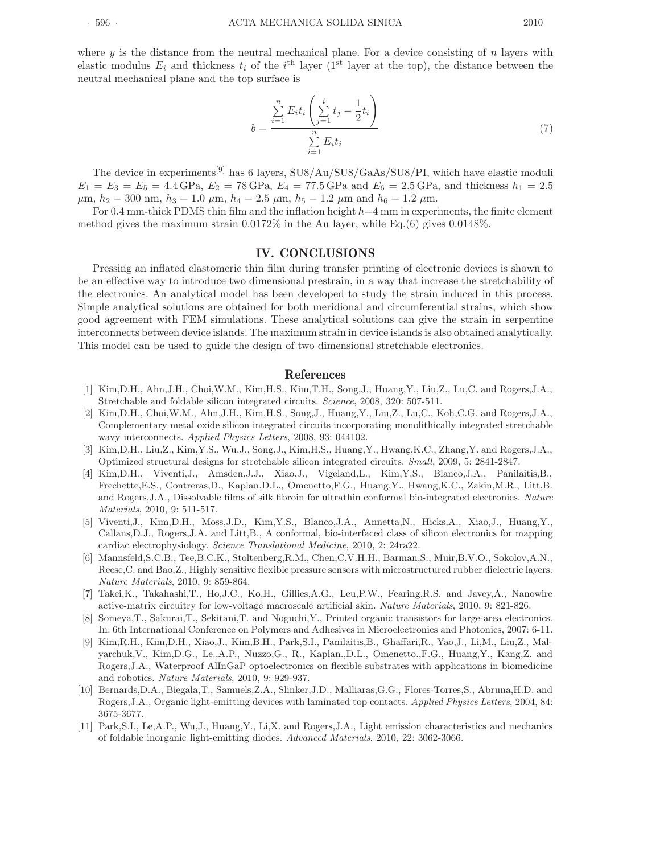where  $y$  is the distance from the neutral mechanical plane. For a device consisting of  $n$  layers with elastic modulus  $E_i$  and thickness  $t_i$  of the i<sup>th</sup> layer (1<sup>st</sup> layer at the top), the distance between the neutral mechanical plane and the top surface is

$$
b = \frac{\sum_{i=1}^{n} E_i t_i \left( \sum_{j=1}^{i} t_j - \frac{1}{2} t_i \right)}{\sum_{i=1}^{n} E_i t_i} \tag{7}
$$

The device in experiments<sup>[9]</sup> has 6 layers, SU8/Au/SU8/GaAs/SU8/PI, which have elastic moduli  $E_1 = E_3 = E_5 = 4.4 \text{ GPa}, E_2 = 78 \text{ GPa}, E_4 = 77.5 \text{ GPa}$  and  $E_6 = 2.5 \text{ GPa},$  and thickness  $h_1 = 2.5$  $\mu$ m,  $h_2 = 300$  nm,  $h_3 = 1.0 \mu$ m,  $h_4 = 2.5 \mu$ m,  $h_5 = 1.2 \mu$ m and  $h_6 = 1.2 \mu$ m.

For 0.4 mm-thick PDMS thin film and the inflation height  $h=4$  mm in experiments, the finite element method gives the maximum strain  $0.0172\%$  in the Au layer, while Eq.(6) gives  $0.0148\%$ .

Pressing an inflated elastomeric thin film during transfer printing of electronic devices is shown to be an effective way to introduce two dimensional prestrain, in a way that increase the stretchability of the electronics. An analytical model has been developed to study the strain induced in this process. Simple analytical solutions are obtained for both meridional and circumferential strains, which show good agreement with FEM simulations. These analytical solutions can give the strain in serpentine interconnects between device islands. The maximum strain in device islands is also obtained analytically. This model can be used to guide the design of two dimensional stretchable electronics.

- **References** [1] Kim,D.H., Ahn,J.H., Choi,W.M., Kim,H.S., Kim,T.H., Song,J., Huang,Y., Liu,Z., Lu,C. and Rogers,J.A., Stretchable and foldable silicon integrated circuits. Science, 2008, 320: 507-511.
- [2] Kim,D.H., Choi,W.M., Ahn,J.H., Kim,H.S., Song,J., Huang,Y., Liu,Z., Lu,C., Koh,C.G. and Rogers,J.A., Complementary metal oxide silicon integrated circuits incorporating monolithically integrated stretchable wavy interconnects. Applied Physics Letters, 2008, 93: 044102.
- [3] Kim,D.H., Liu,Z., Kim,Y.S., Wu,J., Song,J., Kim,H.S., Huang,Y., Hwang,K.C., Zhang,Y. and Rogers,J.A., Optimized structural designs for stretchable silicon integrated circuits. Small, 2009, 5: 2841-2847.
- [4] Kim,D.H., Viventi,J., Amsden,J.J., Xiao,J., Vigeland,L., Kim,Y.S., Blanco,J.A., Panilaitis,B., Frechette,E.S., Contreras,D., Kaplan,D.L., Omenetto,F.G., Huang,Y., Hwang,K.C., Zakin,M.R., Litt,B. and Rogers,J.A., Dissolvable films of silk fibroin for ultrathin conformal bio-integrated electronics. Nature Materials, 2010, 9: 511-517.
- [5] Viventi,J., Kim,D.H., Moss,J.D., Kim,Y.S., Blanco,J.A., Annetta,N., Hicks,A., Xiao,J., Huang,Y., Callans,D.J., Rogers,J.A. and Litt,B., A conformal, bio-interfaced class of silicon electronics for mapping cardiac electrophysiology. Science Translational Medicine, 2010, 2: 24ra22.
- [6] Mannsfeld,S.C.B., Tee,B.C.K., Stoltenberg,R.M., Chen,C.V.H.H., Barman,S., Muir,B.V.O., Sokolov,A.N., Reese,C. and Bao,Z., Highly sensitive flexible pressure sensors with microstructured rubber dielectric layers. Nature Materials, 2010, 9: 859-864.
- [7] Takei,K., Takahashi,T., Ho,J.C., Ko,H., Gillies,A.G., Leu,P.W., Fearing,R.S. and Javey,A., Nanowire active-matrix circuitry for low-voltage macroscale artificial skin. Nature Materials, 2010, 9: 821-826.
- [8] Someya,T., Sakurai,T., Sekitani,T. and Noguchi,Y., Printed organic transistors for large-area electronics. In: 6th International Conference on Polymers and Adhesives in Microelectronics and Photonics, 2007: 6-11.
- [9] Kim,R.H., Kim,D.H., Xiao,J., Kim,B.H., Park,S.I., Panilaitis,B., Ghaffari,R., Yao,J., Li,M., Liu,Z., Malyarchuk,V., Kim,D.G., Le.,A.P., Nuzzo,G., R., Kaplan.,D.L., Omenetto.,F.G., Huang,Y., Kang,Z. and Rogers,J.A., Waterproof AlInGaP optoelectronics on flexible substrates with applications in biomedicine and robotics. Nature Materials, 2010, 9: 929-937.
- [10] Bernards,D.A., Biegala,T., Samuels,Z.A., Slinker,J.D., Malliaras,G.G., Flores-Torres,S., Abruna,H.D. and Rogers, J.A., Organic light-emitting devices with laminated top contacts. Applied Physics Letters, 2004, 84: 3675-3677.
- [11] Park,S.I., Le,A.P., Wu,J., Huang,Y., Li,X. and Rogers,J.A., Light emission characteristics and mechanics of foldable inorganic light-emitting diodes. Advanced Materials, 2010, 22: 3062-3066.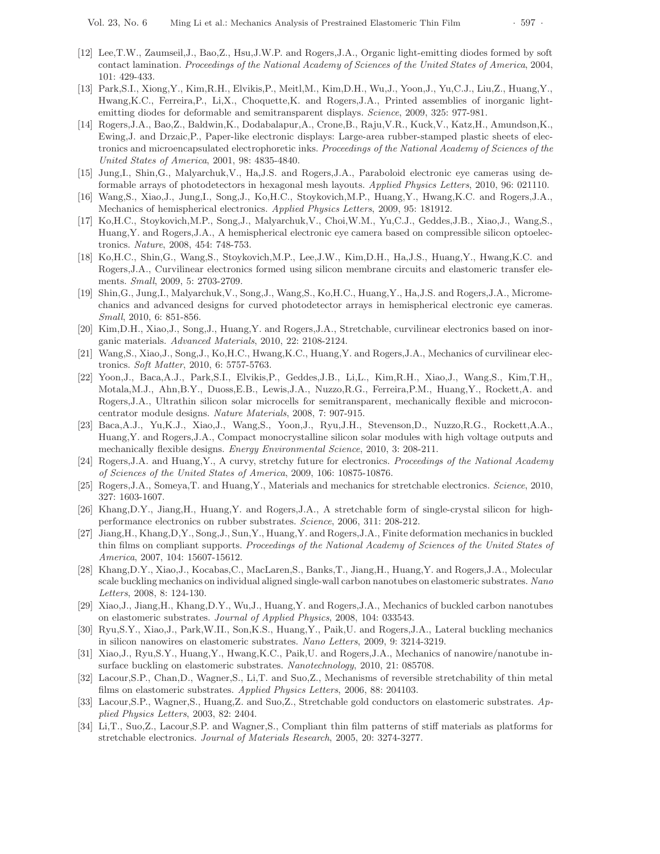- [12] Lee,T.W., Zaumseil,J., Bao,Z., Hsu,J.W.P. and Rogers,J.A., Organic light-emitting diodes formed by soft contact lamination. Proceedings of the National Academy of Sciences of the United States of America, 2004, 101: 429-433.
- [13] Park,S.I., Xiong,Y., Kim,R.H., Elvikis,P., Meitl,M., Kim,D.H., Wu,J., Yoon,J., Yu,C.J., Liu,Z., Huang,Y., Hwang,K.C., Ferreira,P., Li,X., Choquette,K. and Rogers,J.A., Printed assemblies of inorganic lightemitting diodes for deformable and semitransparent displays. Science, 2009, 325: 977-981.
- [14] Rogers,J.A., Bao,Z., Baldwin,K., Dodabalapur,A., Crone,B., Raju,V.R., Kuck,V., Katz,H., Amundson,K., Ewing,J. and Drzaic,P., Paper-like electronic displays: Large-area rubber-stamped plastic sheets of electronics and microencapsulated electrophoretic inks. Proceedings of the National Academy of Sciences of the United States of America, 2001, 98: 4835-4840.
- [15] Jung,I., Shin,G., Malyarchuk,V., Ha,J.S. and Rogers,J.A., Paraboloid electronic eye cameras using deformable arrays of photodetectors in hexagonal mesh layouts. Applied Physics Letters, 2010, 96: 021110.
- [16] Wang,S., Xiao,J., Jung,I., Song,J., Ko,H.C., Stoykovich,M.P., Huang,Y., Hwang,K.C. and Rogers,J.A., Mechanics of hemispherical electronics. Applied Physics Letters, 2009, 95: 181912.
- [17] Ko,H.C., Stoykovich,M.P., Song,J., Malyarchuk,V., Choi,W.M., Yu,C.J., Geddes,J.B., Xiao,J., Wang,S., Huang,Y. and Rogers,J.A., A hemispherical electronic eye camera based on compressible silicon optoelectronics. Nature, 2008, 454: 748-753.
- [18] Ko,H.C., Shin,G., Wang,S., Stoykovich,M.P., Lee,J.W., Kim,D.H., Ha,J.S., Huang,Y., Hwang,K.C. and Rogers,J.A., Curvilinear electronics formed using silicon membrane circuits and elastomeric transfer elements. Small, 2009, 5: 2703-2709.
- [19] Shin,G., Jung,I., Malyarchuk,V., Song,J., Wang,S., Ko,H.C., Huang,Y., Ha,J.S. and Rogers,J.A., Micromechanics and advanced designs for curved photodetector arrays in hemispherical electronic eye cameras. Small, 2010, 6: 851-856.
- [20] Kim,D.H., Xiao,J., Song,J., Huang,Y. and Rogers,J.A., Stretchable, curvilinear electronics based on inorganic materials. Advanced Materials, 2010, 22: 2108-2124.
- [21] Wang,S., Xiao,J., Song,J., Ko,H.C., Hwang,K.C., Huang,Y. and Rogers,J.A., Mechanics of curvilinear electronics. Soft Matter, 2010, 6: 5757-5763.
- [22] Yoon,J., Baca,A.J., Park,S.I., Elvikis,P., Geddes,J.B., Li,L., Kim,R.H., Xiao,J., Wang,S., Kim,T.H,, Motala,M.J., Ahn,B.Y., Duoss,E.B., Lewis,J.A., Nuzzo,R.G., Ferreira,P.M., Huang,Y., Rockett,A. and Rogers,J.A., Ultrathin silicon solar microcells for semitransparent, mechanically flexible and microconcentrator module designs. Nature Materials, 2008, 7: 907-915.
- [23] Baca,A.J., Yu,K.J., Xiao,J., Wang,S., Yoon,J., Ryu,J.H., Stevenson,D., Nuzzo,R.G., Rockett,A.A., Huang,Y. and Rogers,J.A., Compact monocrystalline silicon solar modules with high voltage outputs and mechanically flexible designs. Energy Environmental Science, 2010, 3: 208-211.
- [24] Rogers, J.A. and Huang, Y., A curvy, stretchy future for electronics. Proceedings of the National Academy of Sciences of the United States of America, 2009, 106: 10875-10876.
- [25] Rogers,J.A., Someya,T. and Huang,Y., Materials and mechanics for stretchable electronics. Science, 2010, 327: 1603-1607.
- [26] Khang,D.Y., Jiang,H., Huang,Y. and Rogers,J.A., A stretchable form of single-crystal silicon for highperformance electronics on rubber substrates. Science, 2006, 311: 208-212.
- [27] Jiang,H., Khang,D,Y., Song,J., Sun,Y., Huang,Y. and Rogers,J.A., Finite deformation mechanics in buckled thin films on compliant supports. Proceedings of the National Academy of Sciences of the United States of America, 2007, 104: 15607-15612.
- [28] Khang,D.Y., Xiao,J., Kocabas,C., MacLaren,S., Banks,T., Jiang,H., Huang,Y. and Rogers,J.A., Molecular scale buckling mechanics on individual aligned single-wall carbon nanotubes on elastomeric substrates. Nano Letters, 2008, 8: 124-130.
- [29] Xiao,J., Jiang,H., Khang,D.Y., Wu,J., Huang,Y. and Rogers,J.A., Mechanics of buckled carbon nanotubes on elastomeric substrates. Journal of Applied Physics, 2008, 104: 033543.
- [30] Ryu,S.Y., Xiao,J., Park,W.II., Son,K.S., Huang,Y., Paik,U. and Rogers,J.A., Lateral buckling mechanics in silicon nanowires on elastomeric substrates. Nano Letters, 2009, 9: 3214-3219.
- [31] Xiao,J., Ryu,S.Y., Huang,Y., Hwang,K.C., Paik,U. and Rogers,J.A., Mechanics of nanowire/nanotube insurface buckling on elastomeric substrates. Nanotechnology, 2010, 21: 085708.
- [32] Lacour,S.P., Chan,D., Wagner,S., Li,T. and Suo,Z., Mechanisms of reversible stretchability of thin metal films on elastomeric substrates. Applied Physics Letters, 2006, 88: 204103.
- [33] Lacour,S.P., Wagner,S., Huang,Z. and Suo,Z., Stretchable gold conductors on elastomeric substrates. Applied Physics Letters, 2003, 82: 2404.
- [34] Li,T., Suo,Z., Lacour,S.P. and Wagner,S., Compliant thin film patterns of stiff materials as platforms for stretchable electronics. Journal of Materials Research, 2005, 20: 3274-3277.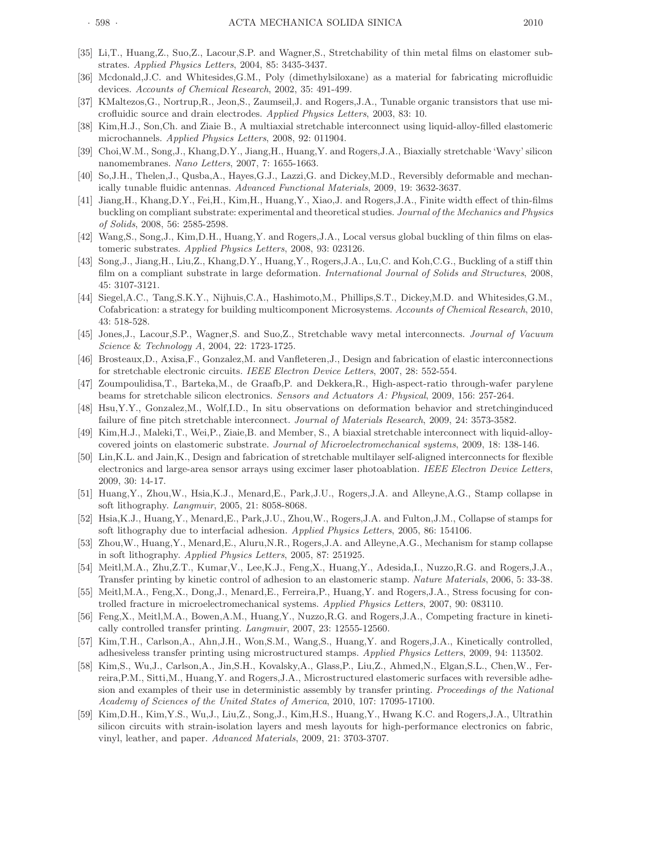- [35] Li,T., Huang,Z., Suo,Z., Lacour,S.P. and Wagner,S., Stretchability of thin metal films on elastomer substrates. Applied Physics Letters, 2004, 85: 3435-3437.
- [36] Mcdonald,J.C. and Whitesides,G.M., Poly (dimethylsiloxane) as a material for fabricating microfluidic devices. Accounts of Chemical Research, 2002, 35: 491-499.
- [37] KMaltezos,G., Nortrup,R., Jeon,S., Zaumseil,J. and Rogers,J.A., Tunable organic transistors that use microfluidic source and drain electrodes. Applied Physics Letters, 2003, 83: 10.
- [38] Kim,H.J., Son,Ch. and Ziaie B., A multiaxial stretchable interconnect using liquid-alloy-filled elastomeric microchannels. Applied Physics Letters, 2008, 92: 011904.
- [39] Choi,W.M., Song,J., Khang,D.Y., Jiang,H., Huang,Y. and Rogers,J.A., Biaxially stretchable 'Wavy' silicon nanomembranes. Nano Letters, 2007, 7: 1655-1663.
- [40] So,J.H., Thelen,J., Qusba,A., Hayes,G.J., Lazzi,G. and Dickey,M.D., Reversibly deformable and mechanically tunable fluidic antennas. Advanced Functional Materials, 2009, 19: 3632-3637.
- [41] Jiang,H., Khang,D.Y., Fei,H., Kim,H., Huang,Y., Xiao,J. and Rogers,J.A., Finite width effect of thin-films buckling on compliant substrate: experimental and theoretical studies. Journal of the Mechanics and Physics of Solids, 2008, 56: 2585-2598.
- [42] Wang,S., Song,J., Kim,D.H., Huang,Y. and Rogers,J.A., Local versus global buckling of thin films on elastomeric substrates. Applied Physics Letters, 2008, 93: 023126.
- [43] Song,J., Jiang,H., Liu,Z., Khang,D.Y., Huang,Y., Rogers,J.A., Lu,C. and Koh,C.G., Buckling of a stiff thin film on a compliant substrate in large deformation. International Journal of Solids and Structures, 2008, 45: 3107-3121.
- [44] Siegel,A.C., Tang,S.K.Y., Nijhuis,C.A., Hashimoto,M., Phillips,S.T., Dickey,M.D. and Whitesides,G.M., Cofabrication: a strategy for building multicomponent Microsystems. Accounts of Chemical Research, 2010, 43: 518-528.
- [45] Jones,J., Lacour,S.P., Wagner,S. and Suo,Z., Stretchable wavy metal interconnects. Journal of Vacuum Science & Technology A, 2004, 22: 1723-1725.
- [46] Brosteaux,D., Axisa,F., Gonzalez,M. and Vanfleteren,J., Design and fabrication of elastic interconnections for stretchable electronic circuits. IEEE Electron Device Letters, 2007, 28: 552-554.
- [47] Zoumpoulidisa,T., Barteka,M., de Graafb,P. and Dekkera,R., High-aspect-ratio through-wafer parylene beams for stretchable silicon electronics. Sensors and Actuators A: Physical, 2009, 156: 257-264.
- [48] Hsu,Y.Y., Gonzalez,M., Wolf,I.D., In situ observations on deformation behavior and stretchinginduced failure of fine pitch stretchable interconnect. Journal of Materials Research, 2009, 24: 3573-3582.
- [49] Kim,H.J., Maleki,T., Wei,P., Ziaie,B. and Member, S., A biaxial stretchable interconnect with liquid-alloycovered joints on elastomeric substrate. Journal of Microelectromechanical systems, 2009, 18: 138-146.
- [50] Lin,K.L. and Jain,K., Design and fabrication of stretchable multilayer self-aligned interconnects for flexible electronics and large-area sensor arrays using excimer laser photoablation. IEEE Electron Device Letters, 2009, 30: 14-17.
- [51] Huang,Y., Zhou,W., Hsia,K.J., Menard,E., Park,J.U., Rogers,J.A. and Alleyne,A.G., Stamp collapse in soft lithography. Langmuir, 2005, 21: 8058-8068.
- [52] Hsia, K.J., Huang, Y., Menard, E., Park, J.U., Zhou, W., Rogers, J.A. and Fulton, J.M., Collapse of stamps for soft lithography due to interfacial adhesion. Applied Physics Letters, 2005, 86: 154106.
- [53] Zhou,W., Huang,Y., Menard,E., Aluru,N.R., Rogers,J.A. and Alleyne,A.G., Mechanism for stamp collapse in soft lithography. Applied Physics Letters, 2005, 87: 251925.
- [54] Meitl,M.A., Zhu,Z.T., Kumar,V., Lee,K.J., Feng,X., Huang,Y., Adesida,I., Nuzzo,R.G. and Rogers,J.A., Transfer printing by kinetic control of adhesion to an elastomeric stamp. Nature Materials, 2006, 5: 33-38.
- [55] Meitl,M.A., Feng,X., Dong,J., Menard,E., Ferreira,P., Huang,Y. and Rogers,J.A., Stress focusing for controlled fracture in microelectromechanical systems. Applied Physics Letters, 2007, 90: 083110.
- [56] Feng,X., Meitl,M.A., Bowen,A.M., Huang,Y., Nuzzo,R.G. and Rogers,J.A., Competing fracture in kinetically controlled transfer printing. Langmuir, 2007, 23: 12555-12560.
- [57] Kim,T.H., Carlson,A., Ahn,J.H., Won,S.M., Wang,S., Huang,Y. and Rogers,J.A., Kinetically controlled, adhesiveless transfer printing using microstructured stamps. Applied Physics Letters, 2009, 94: 113502.
- [58] Kim,S., Wu,J., Carlson,A., Jin,S.H., Kovalsky,A., Glass,P., Liu,Z., Ahmed,N., Elgan,S.L., Chen,W., Ferreira,P.M., Sitti,M., Huang,Y. and Rogers,J.A., Microstructured elastomeric surfaces with reversible adhesion and examples of their use in deterministic assembly by transfer printing. Proceedings of the National Academy of Sciences of the United States of America, 2010, 107: 17095-17100.
- [59] Kim,D.H., Kim,Y.S., Wu,J., Liu,Z., Song,J., Kim,H.S., Huang,Y., Hwang K.C. and Rogers,J.A., Ultrathin silicon circuits with strain-isolation layers and mesh layouts for high-performance electronics on fabric, vinyl, leather, and paper. Advanced Materials, 2009, 21: 3703-3707.